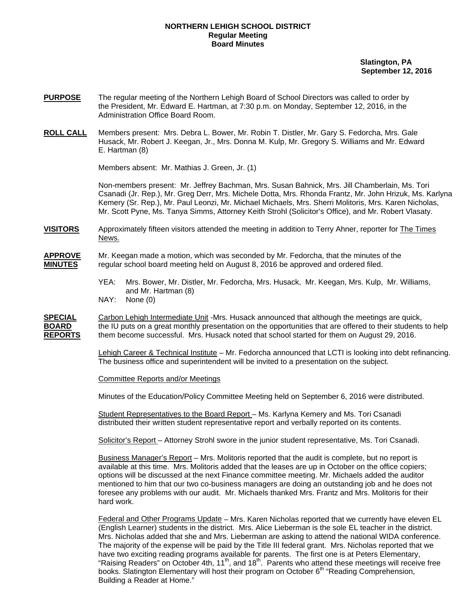## **NORTHERN LEHIGH SCHOOL DISTRICT Regular Meeting Board Minutes**

 **Slatington, PA September 12, 2016** 

- **PURPOSE** The regular meeting of the Northern Lehigh Board of School Directors was called to order by the President, Mr. Edward E. Hartman, at 7:30 p.m. on Monday, September 12, 2016, in the Administration Office Board Room.
- **ROLL CALL** Members present: Mrs. Debra L. Bower, Mr. Robin T. Distler, Mr. Gary S. Fedorcha, Mrs. Gale Husack, Mr. Robert J. Keegan, Jr., Mrs. Donna M. Kulp, Mr. Gregory S. Williams and Mr. Edward E. Hartman (8)

Members absent: Mr. Mathias J. Green, Jr. (1)

Non-members present: Mr. Jeffrey Bachman, Mrs. Susan Bahnick, Mrs. Jill Chamberlain, Ms. Tori Csanadi (Jr. Rep.), Mr. Greg Derr, Mrs. Michele Dotta, Mrs. Rhonda Frantz, Mr. John Hrizuk, Ms. Karlyna Kemery (Sr. Rep.), Mr. Paul Leonzi, Mr. Michael Michaels, Mrs. Sherri Molitoris, Mrs. Karen Nicholas, Mr. Scott Pyne, Ms. Tanya Simms, Attorney Keith Strohl (Solicitor's Office), and Mr. Robert Vlasaty.

**VISITORS** Approximately fifteen visitors attended the meeting in addition to Terry Ahner, reporter for The Times News.

## **APPROVE** Mr. Keegan made a motion, which was seconded by Mr. Fedorcha, that the minutes of the **MINUTES** regular school board meeting held on August 8, 2016 be approved and ordered filed.

- YEA: Mrs. Bower, Mr. Distler, Mr. Fedorcha, Mrs. Husack, Mr. Keegan, Mrs. Kulp, Mr. Williams, and Mr. Hartman (8)
- NAY: None (0)

**SPECIAL** Carbon Lehigh Intermediate Unit -Mrs. Husack announced that although the meetings are quick, **BOARD** the IU puts on a great monthly presentation on the opportunities that are offered to their students to help **REPORTS** them become successful. Mrs. Husack noted that school started for them on August 29, 2016.

> Lehigh Career & Technical Institute – Mr. Fedorcha announced that LCTI is looking into debt refinancing. The business office and superintendent will be invited to a presentation on the subject.

Committee Reports and/or Meetings

Minutes of the Education/Policy Committee Meeting held on September 6, 2016 were distributed.

 Student Representatives to the Board Report – Ms. Karlyna Kemery and Ms. Tori Csanadi distributed their written student representative report and verbally reported on its contents.

Solicitor's Report – Attorney Strohl swore in the junior student representative, Ms. Tori Csanadi.

 Business Manager's Report – Mrs. Molitoris reported that the audit is complete, but no report is available at this time. Mrs. Molitoris added that the leases are up in October on the office copiers; options will be discussed at the next Finance committee meeting. Mr. Michaels added the auditor mentioned to him that our two co-business managers are doing an outstanding job and he does not foresee any problems with our audit. Mr. Michaels thanked Mrs. Frantz and Mrs. Molitoris for their hard work.

 Federal and Other Programs Update – Mrs. Karen Nicholas reported that we currently have eleven EL (English Learner) students in the district. Mrs. Alice Lieberman is the sole EL teacher in the district. Mrs. Nicholas added that she and Mrs. Lieberman are asking to attend the national WIDA conference. The majority of the expense will be paid by the Title III federal grant. Mrs. Nicholas reported that we have two exciting reading programs available for parents. The first one is at Peters Elementary, "Raising Readers" on October 4th, 11<sup>th</sup>, and 18<sup>th</sup>. Parents who attend these meetings will receive free books. Slatington Elementary will host their program on October 6<sup>th</sup> "Reading Comprehension, Building a Reader at Home."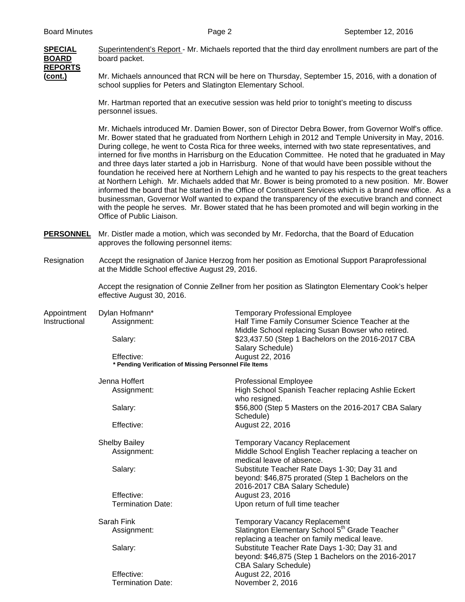

**SPECIAL** Superintendent's Report - Mr. Michaels reported that the third day enrollment numbers are part of the **BOARD** board packet.

**(cont.)** Mr. Michaels announced that RCN will be here on Thursday, September 15, 2016, with a donation of school supplies for Peters and Slatington Elementary School.

> Mr. Hartman reported that an executive session was held prior to tonight's meeting to discuss personnel issues.

Mr. Michaels introduced Mr. Damien Bower, son of Director Debra Bower, from Governor Wolf's office. Mr. Bower stated that he graduated from Northern Lehigh in 2012 and Temple University in May, 2016. During college, he went to Costa Rica for three weeks, interned with two state representatives, and interned for five months in Harrisburg on the Education Committee. He noted that he graduated in May and three days later started a job in Harrisburg. None of that would have been possible without the foundation he received here at Northern Lehigh and he wanted to pay his respects to the great teachers at Northern Lehigh. Mr. Michaels added that Mr. Bower is being promoted to a new position. Mr. Bower informed the board that he started in the Office of Constituent Services which is a brand new office. As a businessman, Governor Wolf wanted to expand the transparency of the executive branch and connect with the people he serves. Mr. Bower stated that he has been promoted and will begin working in the Office of Public Liaison.

- **PERSONNEL** Mr. Distler made a motion, which was seconded by Mr. Fedorcha, that the Board of Education approves the following personnel items:
- Resignation Accept the resignation of Janice Herzog from her position as Emotional Support Paraprofessional at the Middle School effective August 29, 2016.

Accept the resignation of Connie Zellner from her position as Slatington Elementary Cook's helper effective August 30, 2016.

| Appointment   | Dylan Hofmann*                                         | Temporary Professional Employee                    |
|---------------|--------------------------------------------------------|----------------------------------------------------|
| Instructional | Assignment:                                            | Half Time Family Consumer Science Teacher at the   |
|               |                                                        | Middle School replacing Susan Bowser who retired.  |
|               | Salarv:                                                | \$23,437.50 (Step 1 Bachelors on the 2016-2017 CBA |
|               |                                                        | Salary Schedule)                                   |
|               | Effective:                                             | August 22, 2016                                    |
|               | * Pending Verification of Missing Personnel File Items |                                                    |

| Jenna Hoffert        | <b>Professional Employee</b>                                                                                                          |
|----------------------|---------------------------------------------------------------------------------------------------------------------------------------|
| Assignment:          | High School Spanish Teacher replacing Ashlie Eckert<br>who resigned.                                                                  |
| Salary:              | \$56,800 (Step 5 Masters on the 2016-2017 CBA Salary<br>Schedule)                                                                     |
| Effective:           | August 22, 2016                                                                                                                       |
| <b>Shelby Bailey</b> | Temporary Vacancy Replacement                                                                                                         |
| Assignment:          | Middle School English Teacher replacing a teacher on<br>medical leave of absence.                                                     |
| Salary:              | Substitute Teacher Rate Days 1-30; Day 31 and<br>beyond: \$46,875 prorated (Step 1 Bachelors on the<br>2016-2017 CBA Salary Schedule) |
| Effective:           | August 23, 2016                                                                                                                       |
| Termination Date:    | Upon return of full time teacher                                                                                                      |
| Sarah Fink           | <b>Temporary Vacancy Replacement</b>                                                                                                  |
| Assignment:          | Slatington Elementary School 5 <sup>th</sup> Grade Teacher<br>replacing a teacher on family medical leave.                            |
| Salary:              | Substitute Teacher Rate Days 1-30; Day 31 and<br>beyond: \$46,875 (Step 1 Bachelors on the 2016-2017<br><b>CBA Salary Schedule)</b>   |
| Effective:           | August 22, 2016                                                                                                                       |
| Termination Date:    | November 2, 2016                                                                                                                      |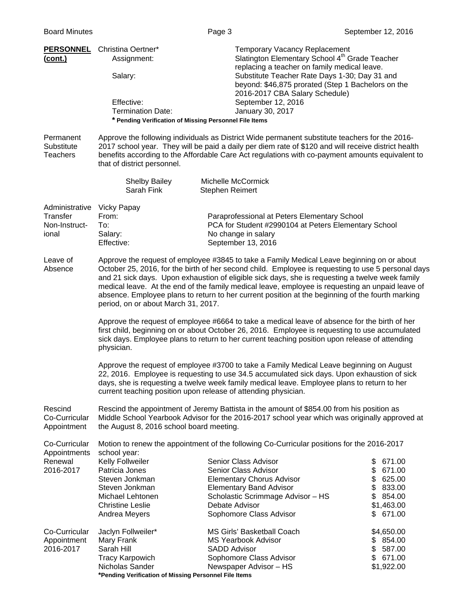| (cont.)                                                          | <b>PERSONNEL</b> Christina Oertner*<br>Assignment:<br>Salary:<br>Effective:<br><b>Termination Date:</b><br>* Pending Verification of Missing Personnel File Items                                                                                                                                                                                                                                                                                                                                                                                  | <b>Temporary Vacancy Replacement</b><br>Slatington Elementary School 4 <sup>th</sup> Grade Teacher<br>replacing a teacher on family medical leave.<br>Substitute Teacher Rate Days 1-30; Day 31 and<br>beyond: \$46,875 prorated (Step 1 Bachelors on the<br>2016-2017 CBA Salary Schedule)<br>September 12, 2016<br>January 30, 2017 |                                                                                                      |  |
|------------------------------------------------------------------|----------------------------------------------------------------------------------------------------------------------------------------------------------------------------------------------------------------------------------------------------------------------------------------------------------------------------------------------------------------------------------------------------------------------------------------------------------------------------------------------------------------------------------------------------|---------------------------------------------------------------------------------------------------------------------------------------------------------------------------------------------------------------------------------------------------------------------------------------------------------------------------------------|------------------------------------------------------------------------------------------------------|--|
| Permanent<br>Substitute<br><b>Teachers</b>                       | that of district personnel.                                                                                                                                                                                                                                                                                                                                                                                                                                                                                                                        | Approve the following individuals as District Wide permanent substitute teachers for the 2016-<br>2017 school year. They will be paid a daily per diem rate of \$120 and will receive district health<br>benefits according to the Affordable Care Act regulations with co-payment amounts equivalent to                              |                                                                                                      |  |
|                                                                  | <b>Shelby Bailey</b><br>Sarah Fink                                                                                                                                                                                                                                                                                                                                                                                                                                                                                                                 | Michelle McCormick<br>Stephen Reimert                                                                                                                                                                                                                                                                                                 |                                                                                                      |  |
| Administrative Vicky Papay<br>Transfer<br>Non-Instruct-<br>ional | From:<br>To:<br>Salary:<br>Effective:                                                                                                                                                                                                                                                                                                                                                                                                                                                                                                              | Paraprofessional at Peters Elementary School<br>PCA for Student #2990104 at Peters Elementary School<br>No change in salary<br>September 13, 2016                                                                                                                                                                                     |                                                                                                      |  |
| Leave of<br>Absence                                              | Approve the request of employee #3845 to take a Family Medical Leave beginning on or about<br>October 25, 2016, for the birth of her second child. Employee is requesting to use 5 personal days<br>and 21 sick days. Upon exhaustion of eligible sick days, she is requesting a twelve week family<br>medical leave. At the end of the family medical leave, employee is requesting an unpaid leave of<br>absence. Employee plans to return to her current position at the beginning of the fourth marking<br>period, on or about March 31, 2017. |                                                                                                                                                                                                                                                                                                                                       |                                                                                                      |  |
|                                                                  | Approve the request of employee #6664 to take a medical leave of absence for the birth of her<br>first child, beginning on or about October 26, 2016. Employee is requesting to use accumulated<br>sick days. Employee plans to return to her current teaching position upon release of attending<br>physician.                                                                                                                                                                                                                                    |                                                                                                                                                                                                                                                                                                                                       |                                                                                                      |  |
|                                                                  | Approve the request of employee #3700 to take a Family Medical Leave beginning on August<br>22, 2016. Employee is requesting to use 34.5 accumulated sick days. Upon exhaustion of sick<br>days, she is requesting a twelve week family medical leave. Employee plans to return to her<br>current teaching position upon release of attending physician.                                                                                                                                                                                           |                                                                                                                                                                                                                                                                                                                                       |                                                                                                      |  |
| Rescind<br>Co-Curricular<br>Appointment                          | Rescind the appointment of Jeremy Battista in the amount of \$854.00 from his position as<br>Middle School Yearbook Advisor for the 2016-2017 school year which was originally approved at<br>the August 8, 2016 school board meeting.                                                                                                                                                                                                                                                                                                             |                                                                                                                                                                                                                                                                                                                                       |                                                                                                      |  |
| Co-Curricular<br>Appointments<br>Renewal<br>2016-2017            | school year:<br>Kelly Follweiler<br>Patricia Jones<br>Steven Jonkman<br>Steven Jonkman<br>Michael Lehtonen<br><b>Christine Leslie</b><br>Andrea Meyers                                                                                                                                                                                                                                                                                                                                                                                             | Motion to renew the appointment of the following Co-Curricular positions for the 2016-2017<br>Senior Class Advisor<br>Senior Class Advisor<br><b>Elementary Chorus Advisor</b><br><b>Elementary Band Advisor</b><br>Scholastic Scrimmage Advisor - HS<br>Debate Advisor<br>Sophomore Class Advisor                                    | 671.00<br>\$<br>\$<br>671.00<br>\$<br>625.00<br>\$<br>833.00<br>854.00<br>\$<br>\$1,463.00<br>671.00 |  |
| Co-Curricular<br>Appointment<br>2016-2017                        | Jaclyn Follweiler*<br>Mary Frank<br>Sarah Hill<br><b>Tracy Karpowich</b><br>Nicholas Sander                                                                                                                                                                                                                                                                                                                                                                                                                                                        | <b>MS Girls' Basketball Coach</b><br><b>MS Yearbook Advisor</b><br><b>SADD Advisor</b><br>Sophomore Class Advisor<br>Newspaper Advisor - HS                                                                                                                                                                                           | \$4,650.00<br>\$854.00<br>\$<br>587.00<br>\$671.00<br>\$1,922.00                                     |  |

 **\*Pending Verification of Missing Personnel File Items**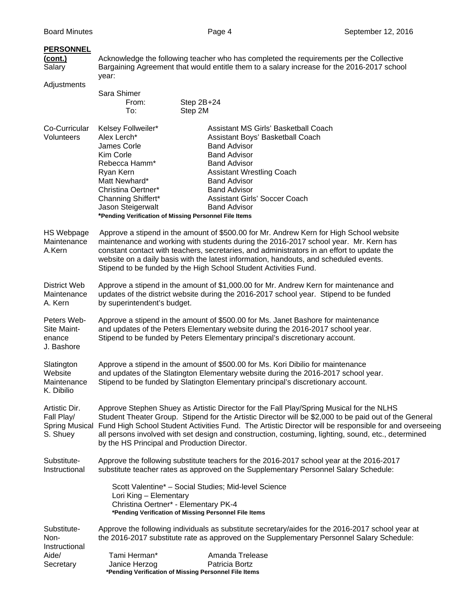| <b>PERSONNEL</b><br><u>(cont.)</u><br>Salary<br>Adjustments | year:<br>Sara Shimer<br>From:<br>To:                                                                                                                                                                                                                                                                                                                                                                                                                                               | Acknowledge the following teacher who has completed the requirements per the Collective<br>Bargaining Agreement that would entitle them to a salary increase for the 2016-2017 school<br>Step 2B+24<br>Step 2M                                                                                 |  |
|-------------------------------------------------------------|------------------------------------------------------------------------------------------------------------------------------------------------------------------------------------------------------------------------------------------------------------------------------------------------------------------------------------------------------------------------------------------------------------------------------------------------------------------------------------|------------------------------------------------------------------------------------------------------------------------------------------------------------------------------------------------------------------------------------------------------------------------------------------------|--|
| Co-Curricular<br>Volunteers                                 | Kelsey Follweiler*<br>Alex Lerch*<br>James Corle<br>Kim Corle<br>Rebecca Hamm*<br>Ryan Kern<br>Matt Newhard*<br>Christina Oertner*<br>Channing Shiffert*<br>Jason Steigerwalt<br>*Pending Verification of Missing Personnel File Items                                                                                                                                                                                                                                             | Assistant MS Girls' Basketball Coach<br>Assistant Boys' Basketball Coach<br><b>Band Advisor</b><br><b>Band Advisor</b><br><b>Band Advisor</b><br><b>Assistant Wrestling Coach</b><br><b>Band Advisor</b><br><b>Band Advisor</b><br><b>Assistant Girls' Soccer Coach</b><br><b>Band Advisor</b> |  |
| HS Webpage<br>Maintenance<br>A.Kern                         | Approve a stipend in the amount of \$500.00 for Mr. Andrew Kern for High School website<br>maintenance and working with students during the 2016-2017 school year. Mr. Kern has<br>constant contact with teachers, secretaries, and administrators in an effort to update the<br>website on a daily basis with the latest information, handouts, and scheduled events.<br>Stipend to be funded by the High School Student Activities Fund.                                         |                                                                                                                                                                                                                                                                                                |  |
| District Web<br>Maintenance<br>A. Kern                      | Approve a stipend in the amount of \$1,000.00 for Mr. Andrew Kern for maintenance and<br>updates of the district website during the 2016-2017 school year. Stipend to be funded<br>by superintendent's budget.                                                                                                                                                                                                                                                                     |                                                                                                                                                                                                                                                                                                |  |
| Peters Web-<br>Site Maint-<br>enance<br>J. Bashore          | Approve a stipend in the amount of \$500.00 for Ms. Janet Bashore for maintenance<br>and updates of the Peters Elementary website during the 2016-2017 school year.<br>Stipend to be funded by Peters Elementary principal's discretionary account.                                                                                                                                                                                                                                |                                                                                                                                                                                                                                                                                                |  |
| Slatington<br>Website<br>Maintenance<br>K. Dibilio          | Approve a stipend in the amount of \$500.00 for Ms. Kori Dibilio for maintenance<br>and updates of the Slatington Elementary website during the 2016-2017 school year.<br>Stipend to be funded by Slatington Elementary principal's discretionary account.                                                                                                                                                                                                                         |                                                                                                                                                                                                                                                                                                |  |
| Artistic Dir.<br>Fall Play/<br>S. Shuey                     | Approve Stephen Shuey as Artistic Director for the Fall Play/Spring Musical for the NLHS<br>Student Theater Group. Stipend for the Artistic Director will be \$2,000 to be paid out of the General<br>Spring Musical Fund High School Student Activities Fund. The Artistic Director will be responsible for and overseeing<br>all persons involved with set design and construction, costuming, lighting, sound, etc., determined<br>by the HS Principal and Production Director. |                                                                                                                                                                                                                                                                                                |  |
| Substitute-<br>Instructional                                |                                                                                                                                                                                                                                                                                                                                                                                                                                                                                    | Approve the following substitute teachers for the 2016-2017 school year at the 2016-2017<br>substitute teacher rates as approved on the Supplementary Personnel Salary Schedule:                                                                                                               |  |
|                                                             | Lori King - Elementary<br>Christina Oertner* - Elementary PK-4                                                                                                                                                                                                                                                                                                                                                                                                                     | Scott Valentine* - Social Studies; Mid-level Science<br>*Pending Verification of Missing Personnel File Items                                                                                                                                                                                  |  |
| Substitute-<br>Non-<br>Instructional<br>Aide/<br>Secretary  | Tami Herman*<br>Janice Herzog                                                                                                                                                                                                                                                                                                                                                                                                                                                      | Approve the following individuals as substitute secretary/aides for the 2016-2017 school year at<br>the 2016-2017 substitute rate as approved on the Supplementary Personnel Salary Schedule:<br>Amanda Trelease<br>Patricia Bortz<br>*Pending Verification of Missing Personnel File Items    |  |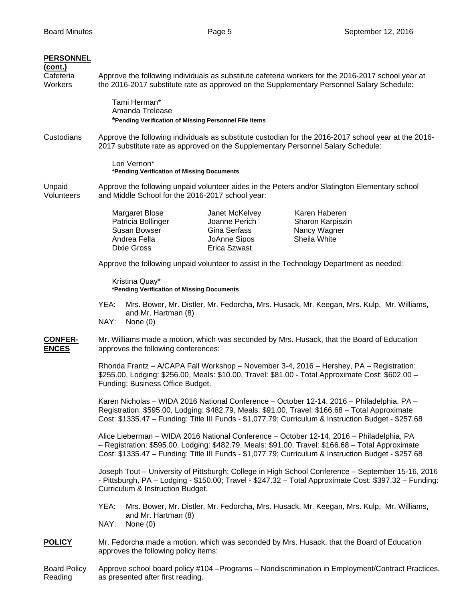Reading as presented after first reading.

| <b>PERSONNEL</b><br><u>(cont.)</u><br>Cafeteria<br>Workers |                                                                                                                                                                                                                                                                                                      |                                                                                          |                                                                                        | Approve the following individuals as substitute cafeteria workers for the 2016-2017 school year at<br>the 2016-2017 substitute rate as approved on the Supplementary Personnel Salary Schedule: |
|------------------------------------------------------------|------------------------------------------------------------------------------------------------------------------------------------------------------------------------------------------------------------------------------------------------------------------------------------------------------|------------------------------------------------------------------------------------------|----------------------------------------------------------------------------------------|-------------------------------------------------------------------------------------------------------------------------------------------------------------------------------------------------|
|                                                            |                                                                                                                                                                                                                                                                                                      | Tami Herman*<br>Amanda Trelease<br>*Pending Verification of Missing Personnel File Items |                                                                                        |                                                                                                                                                                                                 |
| Custodians                                                 | Approve the following individuals as substitute custodian for the 2016-2017 school year at the 2016-<br>2017 substitute rate as approved on the Supplementary Personnel Salary Schedule:                                                                                                             |                                                                                          |                                                                                        |                                                                                                                                                                                                 |
|                                                            |                                                                                                                                                                                                                                                                                                      | Lori Vernon*<br>*Pending Verification of Missing Documents                               |                                                                                        |                                                                                                                                                                                                 |
| Unpaid<br>Volunteers                                       | Approve the following unpaid volunteer aides in the Peters and/or Slatington Elementary school<br>and Middle School for the 2016-2017 school year:                                                                                                                                                   |                                                                                          |                                                                                        |                                                                                                                                                                                                 |
|                                                            |                                                                                                                                                                                                                                                                                                      | Margaret Blose<br>Patricia Bollinger<br>Susan Bowser<br>Andrea Fella<br>Dixie Gross      | Janet McKelvey<br>Joanne Perich<br>Gina Serfass<br>JoAnne Sipos<br><b>Erica Szwast</b> | Karen Haberen<br>Sharon Karpiszin<br>Nancy Wagner<br>Sheila White                                                                                                                               |
|                                                            |                                                                                                                                                                                                                                                                                                      |                                                                                          |                                                                                        | Approve the following unpaid volunteer to assist in the Technology Department as needed:                                                                                                        |
|                                                            |                                                                                                                                                                                                                                                                                                      | Kristina Quay*<br>*Pending Verification of Missing Documents                             |                                                                                        |                                                                                                                                                                                                 |
|                                                            | YEA:<br>NAY:                                                                                                                                                                                                                                                                                         | and Mr. Hartman (8)<br>None $(0)$                                                        |                                                                                        | Mrs. Bower, Mr. Distler, Mr. Fedorcha, Mrs. Husack, Mr. Keegan, Mrs. Kulp, Mr. Williams,                                                                                                        |
| <b>CONFER-</b><br><b>ENCES</b>                             |                                                                                                                                                                                                                                                                                                      | approves the following conferences:                                                      |                                                                                        | Mr. Williams made a motion, which was seconded by Mrs. Husack, that the Board of Education                                                                                                      |
|                                                            | Rhonda Frantz - A/CAPA Fall Workshop - November 3-4, 2016 - Hershey, PA - Registration:<br>\$255.00, Lodging: \$256.00, Meals: \$10.00, Travel: \$81.00 - Total Approximate Cost: \$602.00 -<br>Funding: Business Office Budget.                                                                     |                                                                                          |                                                                                        |                                                                                                                                                                                                 |
|                                                            | Karen Nicholas – WIDA 2016 National Conference – October 12-14, 2016 – Philadelphia, PA –<br>Registration: \$595.00, Lodging: \$482.79, Meals: \$91.00, Travel: \$166.68 - Total Approximate<br>Cost: \$1335.47 - Funding: Title III Funds - \$1,077.79; Curriculum & Instruction Budget - \$257.68  |                                                                                          |                                                                                        |                                                                                                                                                                                                 |
|                                                            | Alice Lieberman - WIDA 2016 National Conference - October 12-14, 2016 - Philadelphia, PA<br>- Registration: \$595.00, Lodging: \$482.79, Meals: \$91.00, Travel: \$166.68 - Total Approximate<br>Cost: \$1335.47 - Funding: Title III Funds - \$1,077.79; Curriculum & Instruction Budget - \$257.68 |                                                                                          |                                                                                        |                                                                                                                                                                                                 |
|                                                            | Joseph Tout - University of Pittsburgh: College in High School Conference - September 15-16, 2016<br>- Pittsburgh, PA - Lodging - \$150.00; Travel - \$247.32 - Total Approximate Cost: \$397.32 - Funding:<br>Curriculum & Instruction Budget.                                                      |                                                                                          |                                                                                        |                                                                                                                                                                                                 |
|                                                            | YEA:<br>NAY:                                                                                                                                                                                                                                                                                         | and Mr. Hartman (8)<br>None (0)                                                          |                                                                                        | Mrs. Bower, Mr. Distler, Mr. Fedorcha, Mrs. Husack, Mr. Keegan, Mrs. Kulp, Mr. Williams,                                                                                                        |
| <b>POLICY</b>                                              | Mr. Fedorcha made a motion, which was seconded by Mrs. Husack, that the Board of Education<br>approves the following policy items:                                                                                                                                                                   |                                                                                          |                                                                                        |                                                                                                                                                                                                 |
| <b>Board Policy</b>                                        | Approve school board policy #104 - Programs - Nondiscrimination in Employment/Contract Practices,                                                                                                                                                                                                    |                                                                                          |                                                                                        |                                                                                                                                                                                                 |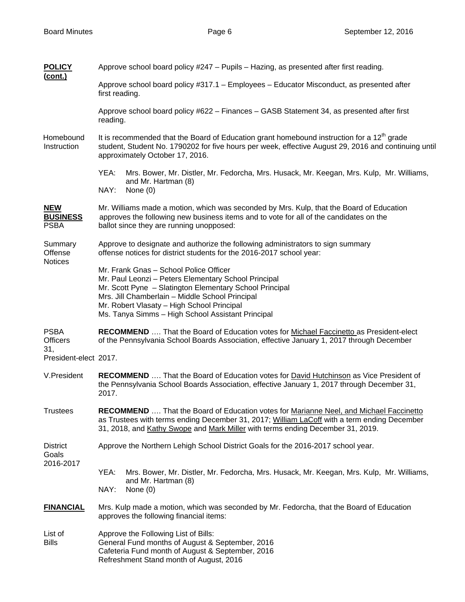| <b>POLICY</b><br><u>(cont.)</u>                                | Approve school board policy #247 – Pupils – Hazing, as presented after first reading.                                                                                                                                                                                                                           |  |  |  |
|----------------------------------------------------------------|-----------------------------------------------------------------------------------------------------------------------------------------------------------------------------------------------------------------------------------------------------------------------------------------------------------------|--|--|--|
|                                                                | Approve school board policy #317.1 - Employees - Educator Misconduct, as presented after<br>first reading.                                                                                                                                                                                                      |  |  |  |
|                                                                | Approve school board policy #622 - Finances - GASB Statement 34, as presented after first<br>reading.                                                                                                                                                                                                           |  |  |  |
| Homebound<br>Instruction                                       | It is recommended that the Board of Education grant homebound instruction for a $12th$ grade<br>student, Student No. 1790202 for five hours per week, effective August 29, 2016 and continuing until<br>approximately October 17, 2016.                                                                         |  |  |  |
|                                                                | YEA:<br>Mrs. Bower, Mr. Distler, Mr. Fedorcha, Mrs. Husack, Mr. Keegan, Mrs. Kulp, Mr. Williams,<br>and Mr. Hartman (8)<br>NAY:<br>None $(0)$                                                                                                                                                                   |  |  |  |
| <b>NEW</b><br><b>BUSINESS</b><br><b>PSBA</b>                   | Mr. Williams made a motion, which was seconded by Mrs. Kulp, that the Board of Education<br>approves the following new business items and to vote for all of the candidates on the<br>ballot since they are running unopposed:                                                                                  |  |  |  |
| Summary<br>Offense<br><b>Notices</b>                           | Approve to designate and authorize the following administrators to sign summary<br>offense notices for district students for the 2016-2017 school year:                                                                                                                                                         |  |  |  |
|                                                                | Mr. Frank Gnas - School Police Officer<br>Mr. Paul Leonzi - Peters Elementary School Principal<br>Mr. Scott Pyne - Slatington Elementary School Principal<br>Mrs. Jill Chamberlain - Middle School Principal<br>Mr. Robert Vlasaty - High School Principal<br>Ms. Tanya Simms - High School Assistant Principal |  |  |  |
| <b>PSBA</b><br><b>Officers</b><br>31,<br>President-elect 2017. | <b>RECOMMEND</b> That the Board of Education votes for Michael Faccinetto as President-elect<br>of the Pennsylvania School Boards Association, effective January 1, 2017 through December                                                                                                                       |  |  |  |
| V.President                                                    | RECOMMEND  That the Board of Education votes for David Hutchinson as Vice President of<br>the Pennsylvania School Boards Association, effective January 1, 2017 through December 31,<br>2017.                                                                                                                   |  |  |  |
| <b>Trustees</b>                                                | <b>RECOMMEND</b> That the Board of Education votes for Marianne Neel, and Michael Faccinetto<br>as Trustees with terms ending December 31, 2017; William LaCoff with a term ending December<br>31, 2018, and Kathy Swope and Mark Miller with terms ending December 31, 2019.                                   |  |  |  |
| <b>District</b><br>Goals<br>2016-2017                          | Approve the Northern Lehigh School District Goals for the 2016-2017 school year.                                                                                                                                                                                                                                |  |  |  |
|                                                                | YEA:<br>Mrs. Bower, Mr. Distler, Mr. Fedorcha, Mrs. Husack, Mr. Keegan, Mrs. Kulp, Mr. Williams,<br>and Mr. Hartman (8)<br>NAY:<br>None $(0)$                                                                                                                                                                   |  |  |  |
| <b>FINANCIAL</b>                                               | Mrs. Kulp made a motion, which was seconded by Mr. Fedorcha, that the Board of Education<br>approves the following financial items:                                                                                                                                                                             |  |  |  |
| List of<br><b>Bills</b>                                        | Approve the Following List of Bills:<br>General Fund months of August & September, 2016<br>Cafeteria Fund month of August & September, 2016<br>Refreshment Stand month of August, 2016                                                                                                                          |  |  |  |